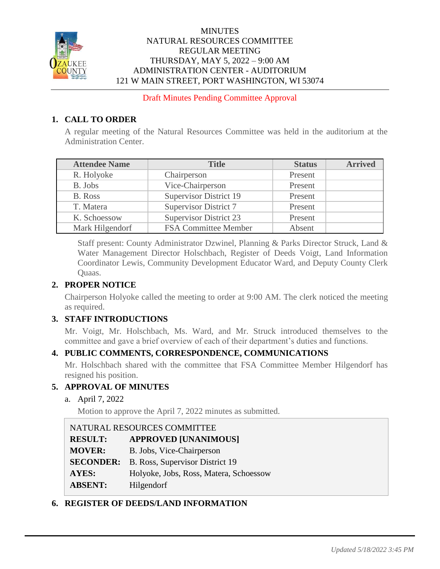

## **MINUTES** NATURAL RESOURCES COMMITTEE REGULAR MEETING THURSDAY, MAY 5, 2022 – 9:00 AM ADMINISTRATION CENTER - AUDITORIUM 121 W MAIN STREET, PORT WASHINGTON, WI 53074

Draft Minutes Pending Committee Approval

## **1. CALL TO ORDER**

A regular meeting of the Natural Resources Committee was held in the auditorium at the Administration Center.

| <b>Attendee Name</b> | <b>Title</b>                  | <b>Status</b> | <b>Arrived</b> |
|----------------------|-------------------------------|---------------|----------------|
| R. Holyoke           | Chairperson                   | Present       |                |
| B. Jobs              | Vice-Chairperson              | Present       |                |
| B. Ross              | <b>Supervisor District 19</b> | Present       |                |
| T. Matera            | <b>Supervisor District 7</b>  | Present       |                |
| K. Schoessow         | <b>Supervisor District 23</b> | Present       |                |
| Mark Hilgendorf      | <b>FSA Committee Member</b>   | Absent        |                |

Staff present: County Administrator Dzwinel, Planning & Parks Director Struck, Land & Water Management Director Holschbach, Register of Deeds Voigt, Land Information Coordinator Lewis, Community Development Educator Ward, and Deputy County Clerk Quaas.

# **2. PROPER NOTICE**

Chairperson Holyoke called the meeting to order at 9:00 AM. The clerk noticed the meeting as required.

## **3. STAFF INTRODUCTIONS**

Mr. Voigt, Mr. Holschbach, Ms. Ward, and Mr. Struck introduced themselves to the committee and gave a brief overview of each of their department's duties and functions.

## **4. PUBLIC COMMENTS, CORRESPONDENCE, COMMUNICATIONS**

Mr. Holschbach shared with the committee that FSA Committee Member Hilgendorf has resigned his position.

## **5. APPROVAL OF MINUTES**

a. April 7, 2022

Motion to approve the April 7, 2022 minutes as submitted.

| NATURAL RESOURCES COMMITTEE |                                        |  |
|-----------------------------|----------------------------------------|--|
| <b>RESULT:</b>              | <b>APPROVED [UNANIMOUS]</b>            |  |
| <b>MOVER:</b>               | B. Jobs, Vice-Chairperson              |  |
| <b>SECONDER:</b>            | B. Ross, Supervisor District 19        |  |
| <b>AYES:</b>                | Holyoke, Jobs, Ross, Matera, Schoessow |  |
| <b>ABSENT:</b>              | Hilgendorf                             |  |

## **6. REGISTER OF DEEDS/LAND INFORMATION**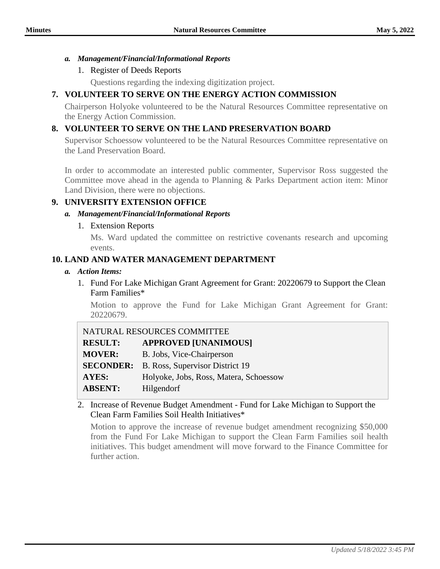#### *a. Management/Financial/Informational Reports*

## 1. Register of Deeds Reports

Questions regarding the indexing digitization project.

# **7. VOLUNTEER TO SERVE ON THE ENERGY ACTION COMMISSION**

Chairperson Holyoke volunteered to be the Natural Resources Committee representative on the Energy Action Commission.

## **8. VOLUNTEER TO SERVE ON THE LAND PRESERVATION BOARD**

Supervisor Schoessow volunteered to be the Natural Resources Committee representative on the Land Preservation Board.

In order to accommodate an interested public commenter, Supervisor Ross suggested the Committee move ahead in the agenda to Planning & Parks Department action item: Minor Land Division, there were no objections.

## **9. UNIVERSITY EXTENSION OFFICE**

#### *a. Management/Financial/Informational Reports*

## 1. Extension Reports

Ms. Ward updated the committee on restrictive covenants research and upcoming events.

## **10. LAND AND WATER MANAGEMENT DEPARTMENT**

- *a. Action Items:*
	- 1. Fund For Lake Michigan Grant Agreement for Grant: 20220679 to Support the Clean Farm Families\*

Motion to approve the Fund for Lake Michigan Grant Agreement for Grant: 20220679.

| NATURAL RESOURCES COMMITTEE |                                                  |  |
|-----------------------------|--------------------------------------------------|--|
| <b>RESULT:</b>              | <b>APPROVED [UNANIMOUS]</b>                      |  |
| <b>MOVER:</b>               | B. Jobs, Vice-Chairperson                        |  |
|                             | <b>SECONDER:</b> B. Ross, Supervisor District 19 |  |
| <b>AYES:</b>                | Holyoke, Jobs, Ross, Matera, Schoessow           |  |
| <b>ABSENT:</b>              | Hilgendorf                                       |  |

## 2. Increase of Revenue Budget Amendment - Fund for Lake Michigan to Support the Clean Farm Families Soil Health Initiatives\*

Motion to approve the increase of revenue budget amendment recognizing \$50,000 from the Fund For Lake Michigan to support the Clean Farm Families soil health initiatives. This budget amendment will move forward to the Finance Committee for further action.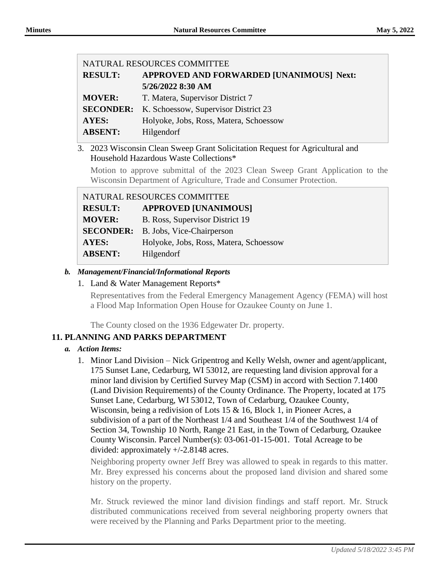|                   | NATURAL RESOURCES COMMITTEE              |  |
|-------------------|------------------------------------------|--|
| <b>RESULT:</b>    | APPROVED AND FORWARDED [UNANIMOUS] Next: |  |
|                   | 5/26/2022 8:30 AM                        |  |
| <b>MOVER:</b>     | T. Matera, Supervisor District 7         |  |
| <b>SECONDER:</b>  | K. Schoessow, Supervisor District 23     |  |
| AYES:             | Holyoke, Jobs, Ross, Matera, Schoessow   |  |
| <b>ABSENT:</b>    | Hilgendorf                               |  |
| $0.022 \text{ m}$ | $\cdot$ $\sim$ $\sim$ $\cdot$<br>$\sim$  |  |

#### 3. 2023 Wisconsin Clean Sweep Grant Solicitation Request for Agricultural and Household Hazardous Waste Collections\*

Motion to approve submittal of the 2023 Clean Sweep Grant Application to the Wisconsin Department of Agriculture, Trade and Consumer Protection.

| NATURAL RESOURCES COMMITTEE |                                        |  |
|-----------------------------|----------------------------------------|--|
| <b>RESULT:</b>              | <b>APPROVED [UNANIMOUS]</b>            |  |
| <b>MOVER:</b>               | B. Ross, Supervisor District 19        |  |
| <b>SECONDER:</b>            | B. Jobs, Vice-Chairperson              |  |
| <b>AYES:</b>                | Holyoke, Jobs, Ross, Matera, Schoessow |  |
| <b>ABSENT:</b>              | Hilgendorf                             |  |

## *b. Management/Financial/Informational Reports*

### 1. Land & Water Management Reports\*

Representatives from the Federal Emergency Management Agency (FEMA) will host a Flood Map Information Open House for Ozaukee County on June 1.

The County closed on the 1936 Edgewater Dr. property.

## **11. PLANNING AND PARKS DEPARTMENT**

## *a. Action Items:*

1. Minor Land Division – Nick Gripentrog and Kelly Welsh, owner and agent/applicant, 175 Sunset Lane, Cedarburg, WI 53012, are requesting land division approval for a minor land division by Certified Survey Map (CSM) in accord with Section 7.1400 (Land Division Requirements) of the County Ordinance. The Property, located at 175 Sunset Lane, Cedarburg, WI 53012, Town of Cedarburg, Ozaukee County, Wisconsin, being a redivision of Lots 15 & 16, Block 1, in Pioneer Acres, a subdivision of a part of the Northeast 1/4 and Southeast 1/4 of the Southwest 1/4 of Section 34, Township 10 North, Range 21 East, in the Town of Cedarburg, Ozaukee County Wisconsin. Parcel Number(s): 03-061-01-15-001. Total Acreage to be divided: approximately +/-2.8148 acres.

Neighboring property owner Jeff Brey was allowed to speak in regards to this matter. Mr. Brey expressed his concerns about the proposed land division and shared some history on the property.

Mr. Struck reviewed the minor land division findings and staff report. Mr. Struck distributed communications received from several neighboring property owners that were received by the Planning and Parks Department prior to the meeting.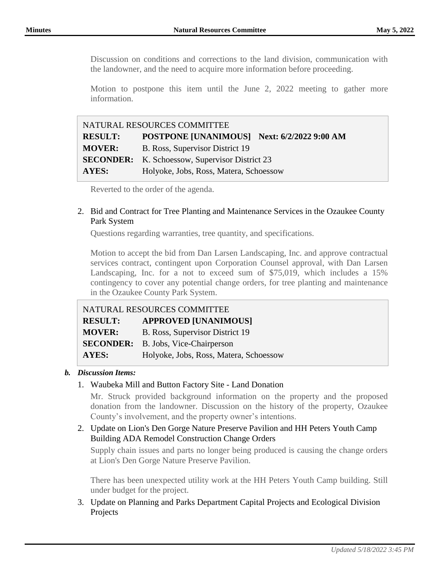Discussion on conditions and corrections to the land division, communication with the landowner, and the need to acquire more information before proceeding.

Motion to postpone this item until the June 2, 2022 meeting to gather more information.

| NATURAL RESOURCES COMMITTEE |                                                       |  |
|-----------------------------|-------------------------------------------------------|--|
| <b>RESULT:</b>              | POSTPONE [UNANIMOUS] Next: 6/2/2022 9:00 AM           |  |
| <b>MOVER:</b>               | B. Ross, Supervisor District 19                       |  |
|                             | <b>SECONDER:</b> K. Schoessow, Supervisor District 23 |  |
| AYES:                       | Holyoke, Jobs, Ross, Matera, Schoessow                |  |

Reverted to the order of the agenda.

## 2. Bid and Contract for Tree Planting and Maintenance Services in the Ozaukee County Park System

Questions regarding warranties, tree quantity, and specifications.

Motion to accept the bid from Dan Larsen Landscaping, Inc. and approve contractual services contract, contingent upon Corporation Counsel approval, with Dan Larsen Landscaping, Inc. for a not to exceed sum of \$75,019, which includes a 15% contingency to cover any potential change orders, for tree planting and maintenance in the Ozaukee County Park System.

| NATURAL RESOURCES COMMITTEE |                                        |  |
|-----------------------------|----------------------------------------|--|
| <b>RESULT:</b>              | <b>APPROVED [UNANIMOUS]</b>            |  |
| <b>MOVER:</b>               | B. Ross, Supervisor District 19        |  |
| <b>SECONDER:</b>            | B. Jobs, Vice-Chairperson              |  |
| AYES:                       | Holyoke, Jobs, Ross, Matera, Schoessow |  |

#### *b. Discussion Items:*

#### 1. Waubeka Mill and Button Factory Site - Land Donation

Mr. Struck provided background information on the property and the proposed donation from the landowner. Discussion on the history of the property, Ozaukee County's involvement, and the property owner's intentions.

## 2. Update on Lion's Den Gorge Nature Preserve Pavilion and HH Peters Youth Camp Building ADA Remodel Construction Change Orders

Supply chain issues and parts no longer being produced is causing the change orders at Lion's Den Gorge Nature Preserve Pavilion.

There has been unexpected utility work at the HH Peters Youth Camp building. Still under budget for the project.

3. Update on Planning and Parks Department Capital Projects and Ecological Division Projects